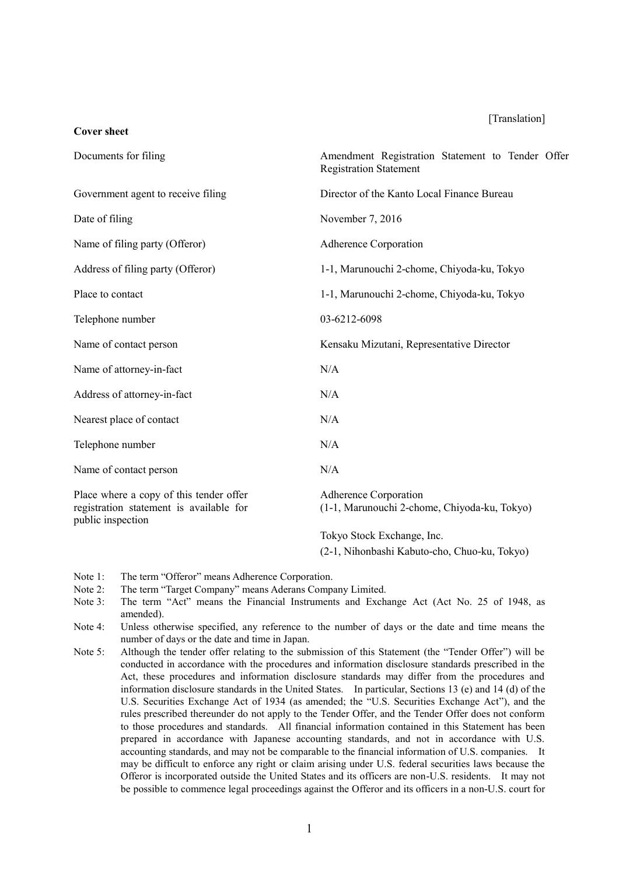#### [Translation]

| Documents for filing                                                                                    | Amendment Registration Statement to Tender Offer<br><b>Registration Statement</b> |  |
|---------------------------------------------------------------------------------------------------------|-----------------------------------------------------------------------------------|--|
| Government agent to receive filing                                                                      | Director of the Kanto Local Finance Bureau                                        |  |
| Date of filing                                                                                          | November 7, 2016                                                                  |  |
| Name of filing party (Offeror)                                                                          | Adherence Corporation                                                             |  |
| Address of filing party (Offeror)                                                                       | 1-1, Marunouchi 2-chome, Chiyoda-ku, Tokyo                                        |  |
| Place to contact                                                                                        | 1-1, Marunouchi 2-chome, Chiyoda-ku, Tokyo                                        |  |
| Telephone number                                                                                        | 03-6212-6098                                                                      |  |
| Name of contact person                                                                                  | Kensaku Mizutani, Representative Director                                         |  |
| Name of attorney-in-fact                                                                                | N/A                                                                               |  |
| Address of attorney-in-fact                                                                             | N/A                                                                               |  |
| Nearest place of contact                                                                                | N/A                                                                               |  |
| Telephone number                                                                                        | N/A                                                                               |  |
| Name of contact person                                                                                  | N/A                                                                               |  |
| Place where a copy of this tender offer<br>registration statement is available for<br>public inspection | Adherence Corporation<br>(1-1, Marunouchi 2-chome, Chiyoda-ku, Tokyo)             |  |
|                                                                                                         | Tokyo Stock Exchange, Inc.                                                        |  |

(2-1, Nihonbashi Kabuto-cho, Chuo-ku, Tokyo)

Note 1: The term "Offeror" means Adherence Corporation.

**Cover sheet**

- Note 2: The term "Target Company" means Aderans Company Limited.
- Note 3: The term "Act" means the Financial Instruments and Exchange Act (Act No. 25 of 1948, as amended).
- Note 4: Unless otherwise specified, any reference to the number of days or the date and time means the number of days or the date and time in Japan.
- Note 5: Although the tender offer relating to the submission of this Statement (the "Tender Offer") will be conducted in accordance with the procedures and information disclosure standards prescribed in the Act, these procedures and information disclosure standards may differ from the procedures and information disclosure standards in the United States. In particular, Sections 13 (e) and 14 (d) of the U.S. Securities Exchange Act of 1934 (as amended; the "U.S. Securities Exchange Act"), and the rules prescribed thereunder do not apply to the Tender Offer, and the Tender Offer does not conform to those procedures and standards. All financial information contained in this Statement has been prepared in accordance with Japanese accounting standards, and not in accordance with U.S. accounting standards, and may not be comparable to the financial information of U.S. companies. It may be difficult to enforce any right or claim arising under U.S. federal securities laws because the Offeror is incorporated outside the United States and its officers are non-U.S. residents. It may not be possible to commence legal proceedings against the Offeror and its officers in a non-U.S. court for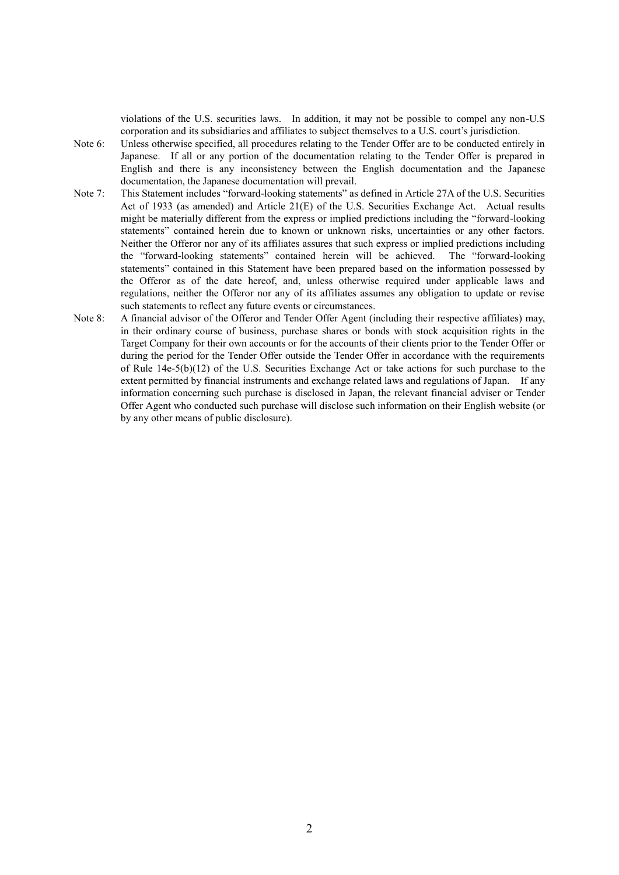violations of the U.S. securities laws. In addition, it may not be possible to compel any non-U.S corporation and its subsidiaries and affiliates to subject themselves to a U.S. court's jurisdiction.

- Note 6: Unless otherwise specified, all procedures relating to the Tender Offer are to be conducted entirely in Japanese. If all or any portion of the documentation relating to the Tender Offer is prepared in English and there is any inconsistency between the English documentation and the Japanese documentation, the Japanese documentation will prevail.
- Note 7: This Statement includes "forward-looking statements" as defined in Article 27A of the U.S. Securities Act of 1933 (as amended) and Article 21(E) of the U.S. Securities Exchange Act. Actual results might be materially different from the express or implied predictions including the "forward-looking statements" contained herein due to known or unknown risks, uncertainties or any other factors. Neither the Offeror nor any of its affiliates assures that such express or implied predictions including the "forward-looking statements" contained herein will be achieved. The "forward-looking statements" contained in this Statement have been prepared based on the information possessed by the Offeror as of the date hereof, and, unless otherwise required under applicable laws and regulations, neither the Offeror nor any of its affiliates assumes any obligation to update or revise such statements to reflect any future events or circumstances.
- Note 8: A financial advisor of the Offeror and Tender Offer Agent (including their respective affiliates) may, in their ordinary course of business, purchase shares or bonds with stock acquisition rights in the Target Company for their own accounts or for the accounts of their clients prior to the Tender Offer or during the period for the Tender Offer outside the Tender Offer in accordance with the requirements of Rule 14e-5(b)(12) of the U.S. Securities Exchange Act or take actions for such purchase to the extent permitted by financial instruments and exchange related laws and regulations of Japan. If any information concerning such purchase is disclosed in Japan, the relevant financial adviser or Tender Offer Agent who conducted such purchase will disclose such information on their English website (or by any other means of public disclosure).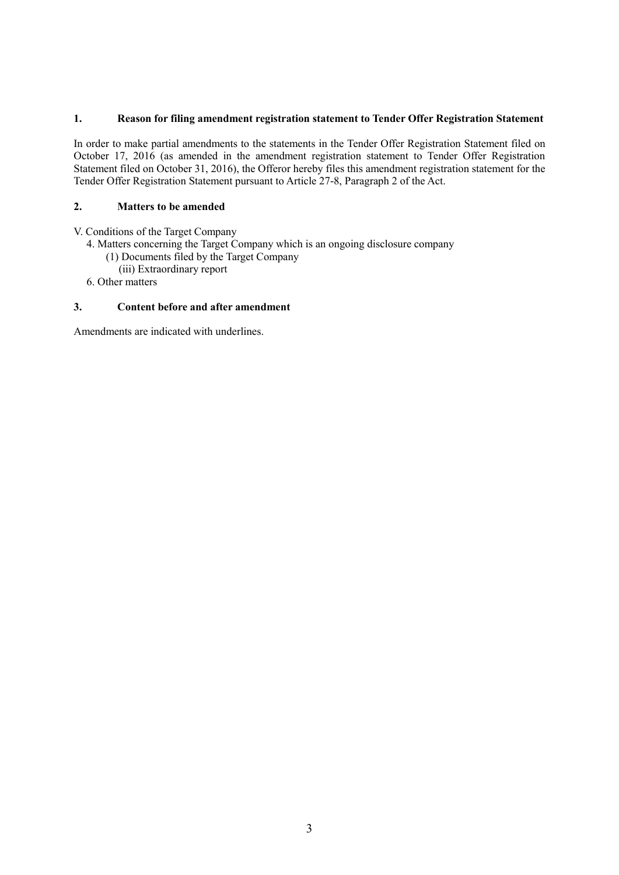## **1. Reason for filing amendment registration statement to Tender Offer Registration Statement**

In order to make partial amendments to the statements in the Tender Offer Registration Statement filed on October 17, 2016 (as amended in the amendment registration statement to Tender Offer Registration Statement filed on October 31, 2016), the Offeror hereby files this amendment registration statement for the Tender Offer Registration Statement pursuant to Article 27-8, Paragraph 2 of the Act.

## **2. Matters to be amended**

V. Conditions of the Target Company

- 4. Matters concerning the Target Company which is an ongoing disclosure company
	- (1) Documents filed by the Target Company
	- (iii) Extraordinary report
- 6. Other matters

## **3. Content before and after amendment**

Amendments are indicated with underlines.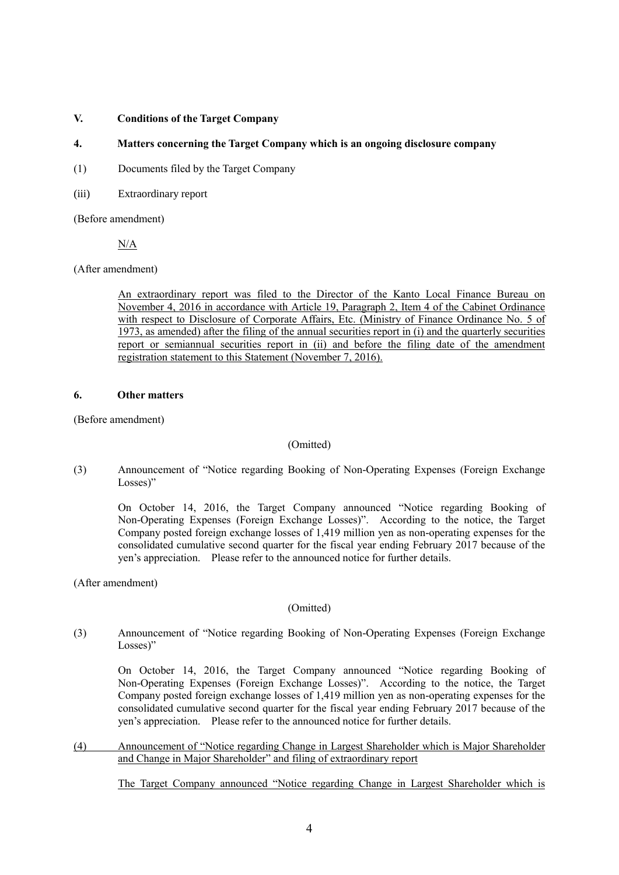### **V. Conditions of the Target Company**

## **4. Matters concerning the Target Company which is an ongoing disclosure company**

- (1) Documents filed by the Target Company
- (iii) Extraordinary report

(Before amendment)

N/A

(After amendment)

An extraordinary report was filed to the Director of the Kanto Local Finance Bureau on November 4, 2016 in accordance with Article 19, Paragraph 2, Item 4 of the Cabinet Ordinance with respect to Disclosure of Corporate Affairs, Etc. (Ministry of Finance Ordinance No. 5 of 1973, as amended) after the filing of the annual securities report in (i) and the quarterly securities report or semiannual securities report in (ii) and before the filing date of the amendment registration statement to this Statement (November 7, 2016).

### **6. Other matters**

(Before amendment)

# (Omitted)

(3) Announcement of "Notice regarding Booking of Non-Operating Expenses (Foreign Exchange Losses)"

On October 14, 2016, the Target Company announced "Notice regarding Booking of Non-Operating Expenses (Foreign Exchange Losses)". According to the notice, the Target Company posted foreign exchange losses of 1,419 million yen as non-operating expenses for the consolidated cumulative second quarter for the fiscal year ending February 2017 because of the yen's appreciation. Please refer to the announced notice for further details.

(After amendment)

# (Omitted)

(3) Announcement of "Notice regarding Booking of Non-Operating Expenses (Foreign Exchange Losses)"

On October 14, 2016, the Target Company announced "Notice regarding Booking of Non-Operating Expenses (Foreign Exchange Losses)". According to the notice, the Target Company posted foreign exchange losses of 1,419 million yen as non-operating expenses for the consolidated cumulative second quarter for the fiscal year ending February 2017 because of the yen's appreciation. Please refer to the announced notice for further details.

(4) Announcement of "Notice regarding Change in Largest Shareholder which is Major Shareholder and Change in Major Shareholder" and filing of extraordinary report

The Target Company announced "Notice regarding Change in Largest Shareholder which is